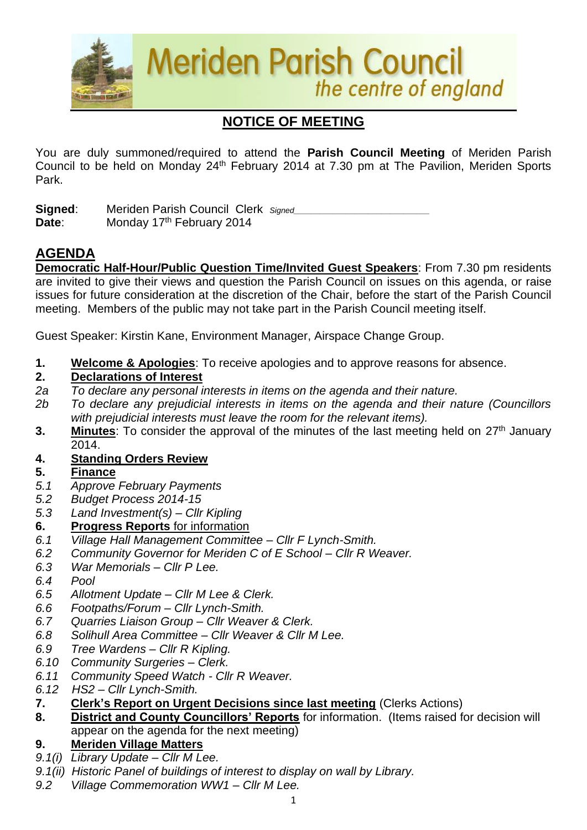

# **NOTICE OF MEETING**

You are duly summoned/required to attend the **Parish Council Meeting** of Meriden Parish Council to be held on Monday 24<sup>th</sup> February 2014 at 7.30 pm at The Pavilion, Meriden Sports Park.

**Signed:** Meriden Parish Council Clerk *Signed* Date: Monday 17<sup>th</sup> February 2014

# **AGENDA**

**Democratic Half-Hour/Public Question Time/Invited Guest Speakers**: From 7.30 pm residents are invited to give their views and question the Parish Council on issues on this agenda, or raise issues for future consideration at the discretion of the Chair, before the start of the Parish Council meeting. Members of the public may not take part in the Parish Council meeting itself.

Guest Speaker: Kirstin Kane, Environment Manager, Airspace Change Group.

**1. Welcome & Apologies**: To receive apologies and to approve reasons for absence.

### **2. Declarations of Interest**

- *2a To declare any personal interests in items on the agenda and their nature.*
- *2b To declare any prejudicial interests in items on the agenda and their nature (Councillors with prejudicial interests must leave the room for the relevant items).*
- **3.** Minutes: To consider the approval of the minutes of the last meeting held on 27<sup>th</sup> January 2014.

# **4. Standing Orders Review**

# **5. Finance**

- *5.1 Approve February Payments*
- *5.2 Budget Process 2014-15*
- *5.3 Land Investment(s) – Cllr Kipling*

# **6. Progress Reports** for information

- *6.1 Village Hall Management Committee – Cllr F Lynch-Smith.*
- *6.2 Community Governor for Meriden C of E School – Cllr R Weaver.*
- *6.3 War Memorials – Cllr P Lee.*
- *6.4 Pool*
- *6.5 Allotment Update – Cllr M Lee & Clerk.*
- *6.6 Footpaths/Forum – Cllr Lynch-Smith.*
- *6.7 Quarries Liaison Group – Cllr Weaver & Clerk.*
- *6.8 Solihull Area Committee – Cllr Weaver & Cllr M Lee.*
- *6.9 Tree Wardens – Cllr R Kipling.*
- *6.10 Community Surgeries – Clerk.*
- *6.11 Community Speed Watch - Cllr R Weaver.*
- *6.12 HS2 – Cllr Lynch-Smith.*

### **7. Clerk's Report on Urgent Decisions since last meeting** (Clerks Actions)

**8. District and County Councillors' Reports** for information. (Items raised for decision will appear on the agenda for the next meeting)

# **9. Meriden Village Matters**

- *9.1(i) Library Update – Cllr M Lee.*
- *9.1(ii) Historic Panel of buildings of interest to display on wall by Library.*
- *9.2 Village Commemoration WW1 – Cllr M Lee.*